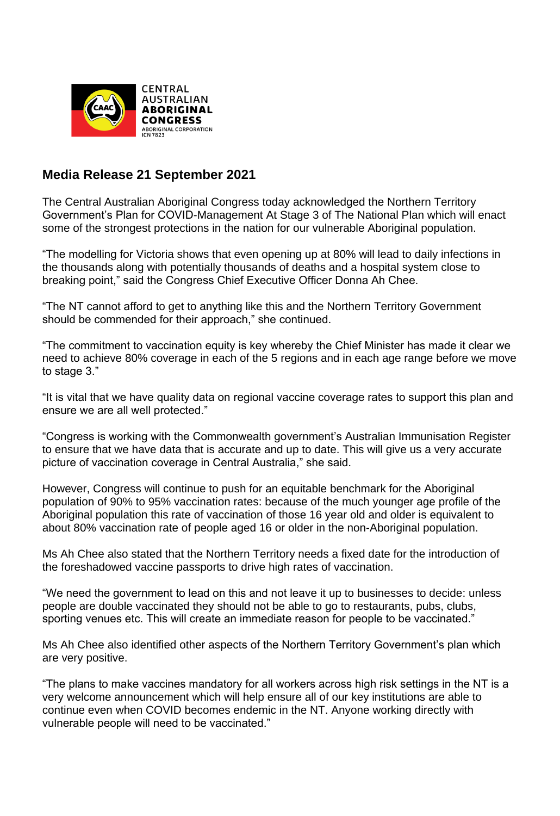

## **Media Release 21 September 2021**

The Central Australian Aboriginal Congress today acknowledged the Northern Territory Government's Plan for COVID-Management At Stage 3 of The National Plan which will enact some of the strongest protections in the nation for our vulnerable Aboriginal population.

"The modelling for Victoria shows that even opening up at 80% will lead to daily infections in the thousands along with potentially thousands of deaths and a hospital system close to breaking point," said the Congress Chief Executive Officer Donna Ah Chee.

"The NT cannot afford to get to anything like this and the Northern Territory Government should be commended for their approach," she continued.

"The commitment to vaccination equity is key whereby the Chief Minister has made it clear we need to achieve 80% coverage in each of the 5 regions and in each age range before we move to stage 3."

"It is vital that we have quality data on regional vaccine coverage rates to support this plan and ensure we are all well protected."

"Congress is working with the Commonwealth government's Australian Immunisation Register to ensure that we have data that is accurate and up to date. This will give us a very accurate picture of vaccination coverage in Central Australia," she said.

However, Congress will continue to push for an equitable benchmark for the Aboriginal population of 90% to 95% vaccination rates: because of the much younger age profile of the Aboriginal population this rate of vaccination of those 16 year old and older is equivalent to about 80% vaccination rate of people aged 16 or older in the non-Aboriginal population.

Ms Ah Chee also stated that the Northern Territory needs a fixed date for the introduction of the foreshadowed vaccine passports to drive high rates of vaccination.

"We need the government to lead on this and not leave it up to businesses to decide: unless people are double vaccinated they should not be able to go to restaurants, pubs, clubs, sporting venues etc. This will create an immediate reason for people to be vaccinated."

Ms Ah Chee also identified other aspects of the Northern Territory Government's plan which are very positive.

"The plans to make vaccines mandatory for all workers across high risk settings in the NT is a very welcome announcement which will help ensure all of our key institutions are able to continue even when COVID becomes endemic in the NT. Anyone working directly with vulnerable people will need to be vaccinated."